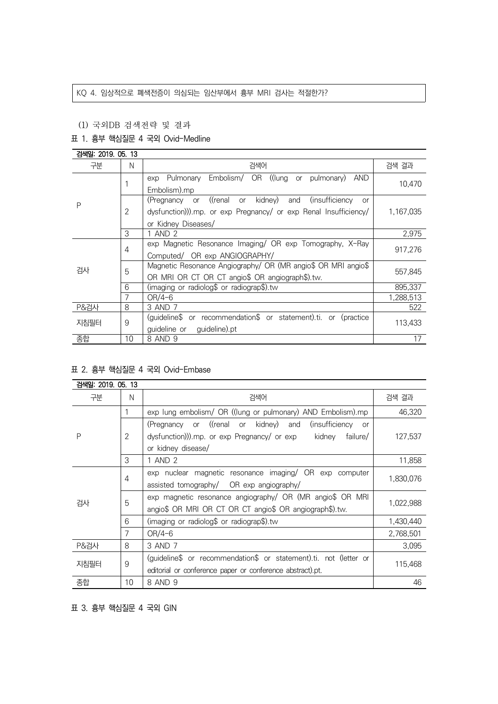# KQ 4. 임상적으로 폐색전증이 의심되는 임산부에서 흉부 MRI 검사는 적절한가?

#### (1) 국외DB 검색전략 및 결과

# 표 1. 흉부 핵심질문 4 국외 Ovid-Medline

| 검색일: 2019, 05, 13 |    |                                                                            |           |
|-------------------|----|----------------------------------------------------------------------------|-----------|
| 구분                | N  | 검색어                                                                        | 검색 결과     |
| P                 |    | Pulmonary Embolism/ OR ((lung or pulmonary)<br>AND<br>exp                  | 10,470    |
|                   |    | Embolism).mp                                                               |           |
|                   | 2  | (Pregnancy or ((renal or kidney)<br>(insufficiency<br>and<br><sub>or</sub> |           |
|                   |    | dysfunction))).mp. or exp Pregnancy/ or exp Renal Insufficiency/           | 1,167,035 |
|                   |    | or Kidney Diseases/                                                        |           |
|                   | 3  | 1 AND 2                                                                    | 2,975     |
|                   | 4  | exp Magnetic Resonance Imaging/ OR exp Tomography, X-Ray                   | 917.276   |
|                   |    | Computed/ OR exp ANGIOGRAPHY/                                              |           |
| 검사                | 5  | Magnetic Resonance Angiography/ OR (MR angio\$ OR MRI angio\$              | 557,845   |
|                   |    | OR MRI OR CT OR CT angio\$ OR angiograph\$).tw.                            |           |
|                   | 6  | (imaging or radiolog\$ or radiograp\$).tw                                  | 895.337   |
|                   | 7  | OR/4-6                                                                     | 1,288,513 |
| <b>P&amp;검사</b>   | 8  | 3 AND 7                                                                    | 522       |
| 지침필터              | 9  | (guideline\$ or recommendation\$ or statement).ti. or (practice            | 113,433   |
|                   |    | guideline or guideline).pt                                                 |           |
| 종합                | 10 | 8 AND 9                                                                    | 17        |

#### 표 2. 흉부 핵심질문 4 국외 Ovid-Embase

| 검색일: 2019. 05. 13 |    |                                                                         |           |
|-------------------|----|-------------------------------------------------------------------------|-----------|
| 구분                | N  | 검색어                                                                     | 검색 결과     |
| P                 |    | exp lung embolism/ OR ((lung or pulmonary) AND Embolism).mp             | 46,320    |
|                   |    | (Pregnancy or ((renal or kidney) and<br>(insufficiency<br><sub>or</sub> |           |
|                   | 2  | dysfunction))).mp. or exp Pregnancy/ or exp<br>kidney<br>failure/       | 127,537   |
|                   |    | or kidney disease/                                                      |           |
|                   | 3  | 1 AND 2                                                                 | 11,858    |
| 검사                | 4  | exp nuclear magnetic resonance imaging/ OR exp computer                 | 1,830,076 |
|                   |    | assisted tomography/ OR exp angiography/                                |           |
|                   | 5  | exp magnetic resonance angiography/ OR (MR angio\$ OR MRI               | 1,022,988 |
|                   |    | angio\$ OR MRI OR CT OR CT angio\$ OR angiograph\$).tw.                 |           |
|                   | 6  | (imaging or radiolog\$ or radiograp\$).tw                               | 1,430,440 |
|                   | 7  | $OR/4-6$                                                                | 2,768,501 |
| <b>P&amp;검사</b>   | 8  | 3 AND 7                                                                 | 3,095     |
| 지침필터              | 9  | (guideline\$ or recommendation\$ or statement).ti. not (letter or       | 115,468   |
|                   |    | editorial or conference paper or conference abstract).pt.               |           |
| 종합                | 10 | 8 AND 9                                                                 | 46        |

표 3. 흉부 핵심질문 4 국외 GIN